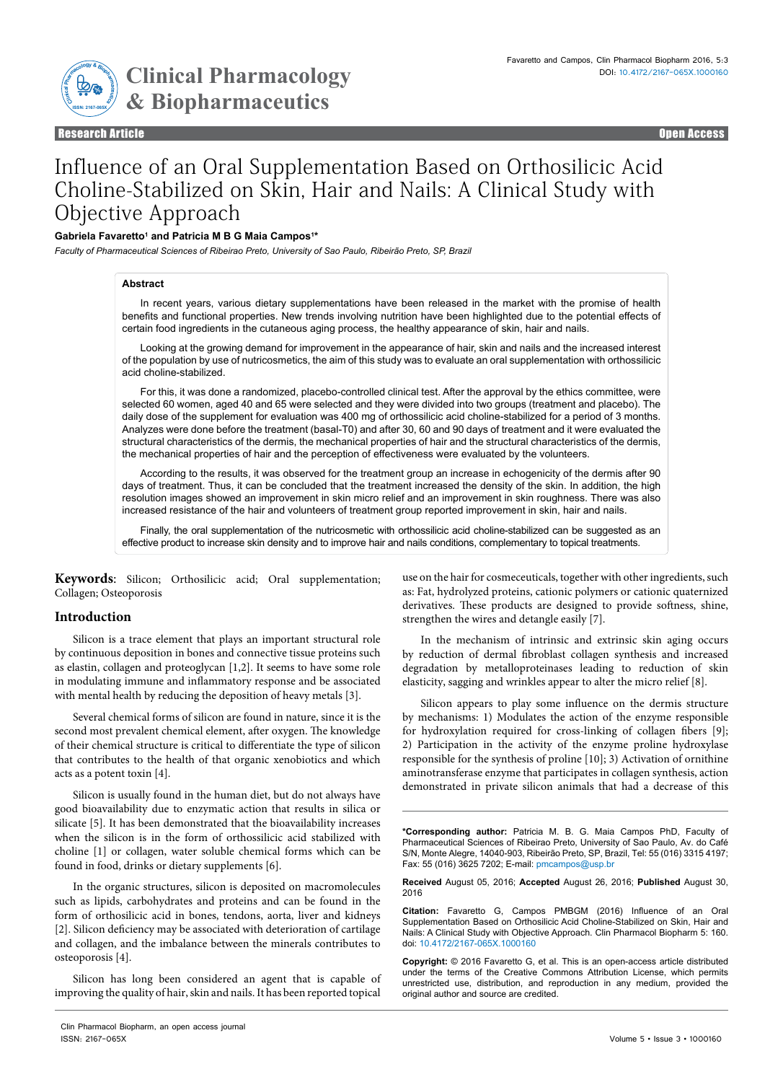

Clinical Pharmacology<br>& Biopharmaceutics

Research Article Open Access

# Influence of an Oral Supplementation Based on Orthosilicic Acid Choline-Stabilized on Skin, Hair and Nails: A Clinical Study with Objective Approach

### $\mathbf G$ abriela Favaretto $^1$  and Patricia M B G Maia Campos $^{1*}$

*Faculty of Pharmaceutical Sciences of Ribeirao Preto, University of Sao Paulo, Ribeirão Preto, SP, Brazil*

#### **Abstract**

In recent years, various dietary supplementations have been released in the market with the promise of health benefits and functional properties. New trends involving nutrition have been highlighted due to the potential effects of certain food ingredients in the cutaneous aging process, the healthy appearance of skin, hair and nails.

Looking at the growing demand for improvement in the appearance of hair, skin and nails and the increased interest of the population by use of nutricosmetics, the aim of this study was to evaluate an oral supplementation with orthossilicic acid choline-stabilized.

For this, it was done a randomized, placebo-controlled clinical test. After the approval by the ethics committee, were selected 60 women, aged 40 and 65 were selected and they were divided into two groups (treatment and placebo). The daily dose of the supplement for evaluation was 400 mg of orthossilicic acid choline-stabilized for a period of 3 months. Analyzes were done before the treatment (basal-T0) and after 30, 60 and 90 days of treatment and it were evaluated the structural characteristics of the dermis, the mechanical properties of hair and the structural characteristics of the dermis, the mechanical properties of hair and the perception of effectiveness were evaluated by the volunteers.

According to the results, it was observed for the treatment group an increase in echogenicity of the dermis after 90 days of treatment. Thus, it can be concluded that the treatment increased the density of the skin. In addition, the high resolution images showed an improvement in skin micro relief and an improvement in skin roughness. There was also increased resistance of the hair and volunteers of treatment group reported improvement in skin, hair and nails.

Finally, the oral supplementation of the nutricosmetic with orthossilicic acid choline-stabilized can be suggested as an effective product to increase skin density and to improve hair and nails conditions, complementary to topical treatments.

**Keywords**: Silicon; Orthosilicic acid; Oral supplementation; Collagen; Osteoporosis

### **Introduction**

Silicon is a trace element that plays an important structural role by continuous deposition in bones and connective tissue proteins such as elastin, collagen and proteoglycan [1,2]. It seems to have some role in modulating immune and inflammatory response and be associated with mental health by reducing the deposition of heavy metals [3].

Several chemical forms of silicon are found in nature, since it is the second most prevalent chemical element, after oxygen. The knowledge of their chemical structure is critical to differentiate the type of silicon that contributes to the health of that organic xenobiotics and which acts as a potent toxin [4].

Silicon is usually found in the human diet, but do not always have good bioavailability due to enzymatic action that results in silica or silicate [5]. It has been demonstrated that the bioavailability increases when the silicon is in the form of orthossilicic acid stabilized with choline [1] or collagen, water soluble chemical forms which can be found in food, drinks or dietary supplements [6].

In the organic structures, silicon is deposited on macromolecules such as lipids, carbohydrates and proteins and can be found in the form of orthosilicic acid in bones, tendons, aorta, liver and kidneys [2]. Silicon deficiency may be associated with deterioration of cartilage and collagen, and the imbalance between the minerals contributes to osteoporosis [4].

Silicon has long been considered an agent that is capable of improving the quality of hair, skin and nails. It has been reported topical use on the hair for cosmeceuticals, together with other ingredients, such as: Fat, hydrolyzed proteins, cationic polymers or cationic quaternized derivatives. These products are designed to provide softness, shine, strengthen the wires and detangle easily [7].

In the mechanism of intrinsic and extrinsic skin aging occurs by reduction of dermal fibroblast collagen synthesis and increased degradation by metalloproteinases leading to reduction of skin elasticity, sagging and wrinkles appear to alter the micro relief [8].

Silicon appears to play some influence on the dermis structure by mechanisms: 1) Modulates the action of the enzyme responsible for hydroxylation required for cross-linking of collagen fibers [9]; 2) Participation in the activity of the enzyme proline hydroxylase responsible for the synthesis of proline [10]; 3) Activation of ornithine aminotransferase enzyme that participates in collagen synthesis, action demonstrated in private silicon animals that had a decrease of this

**\*Corresponding author:** Patricia M. B. G. Maia Campos PhD, Faculty of Pharmaceutical Sciences of Ribeirao Preto, University of Sao Paulo, Av. do Café S/N, Monte Alegre, 14040-903, Ribeirão Preto, SP, Brazil, Tel: 55 (016) 3315 4197; Fax: 55 (016) 3625 7202; E-mail: pmcampos@usp.br

**Received** August 05, 2016; **Accepted** August 26, 2016; **Published** August 30, 2016

**Citation:** Favaretto G, Campos PMBGM (2016) Influence of an Oral Supplementation Based on Orthosilicic Acid Choline-Stabilized on Skin, Hair and Nails: A Clinical Study with Objective Approach. Clin Pharmacol Biopharm 5: 160. doi: 10.4172/2167-065X.1000160

**Copyright:** © 2016 Favaretto G, et al. This is an open-access article distributed under the terms of the Creative Commons Attribution License, which permits unrestricted use, distribution, and reproduction in any medium, provided the original author and source are credited.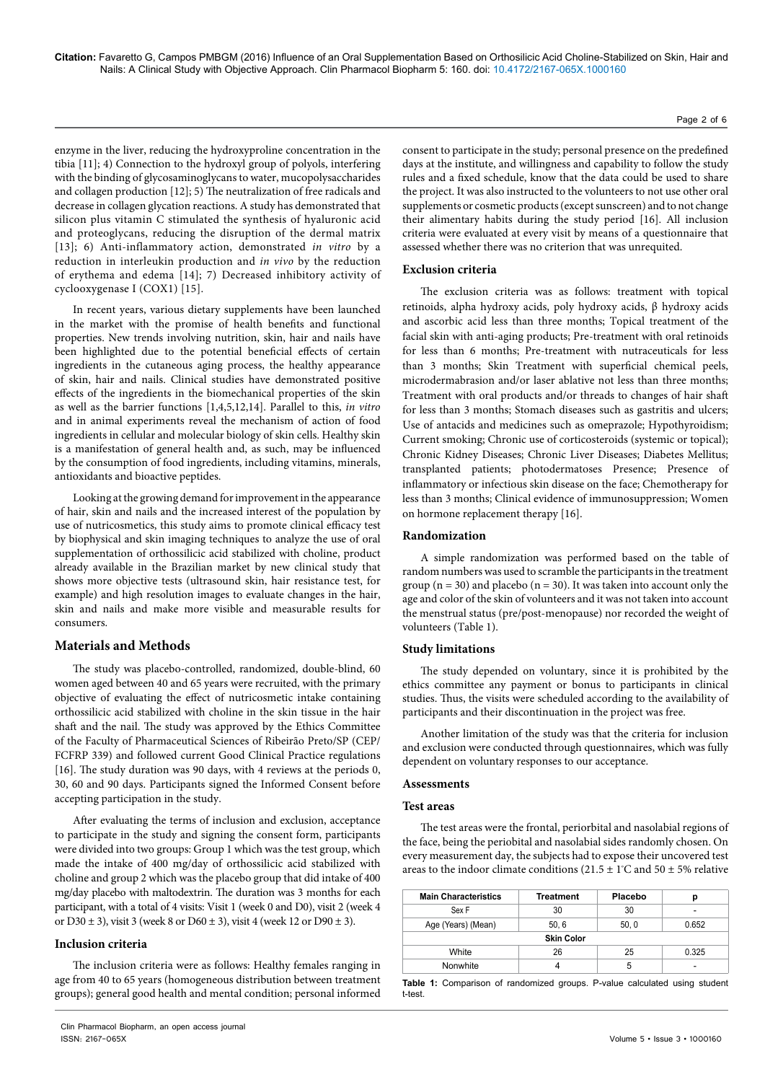enzyme in the liver, reducing the hydroxyproline concentration in the tibia [11]; 4) Connection to the hydroxyl group of polyols, interfering with the binding of glycosaminoglycans to water, mucopolysaccharides and collagen production [12]; 5) The neutralization of free radicals and decrease in collagen glycation reactions. A study has demonstrated that silicon plus vitamin C stimulated the synthesis of hyaluronic acid and proteoglycans, reducing the disruption of the dermal matrix [13]; 6) Anti-inflammatory action, demonstrated *in vitro* by a reduction in interleukin production and *in vivo* by the reduction of erythema and edema [14]; 7) Decreased inhibitory activity of cyclooxygenase I (COX1) [15].

In recent years, various dietary supplements have been launched in the market with the promise of health benefits and functional properties. New trends involving nutrition, skin, hair and nails have been highlighted due to the potential beneficial effects of certain ingredients in the cutaneous aging process, the healthy appearance of skin, hair and nails. Clinical studies have demonstrated positive effects of the ingredients in the biomechanical properties of the skin as well as the barrier functions [1,4,5,12,14]. Parallel to this, *in vitro* and in animal experiments reveal the mechanism of action of food ingredients in cellular and molecular biology of skin cells. Healthy skin is a manifestation of general health and, as such, may be influenced by the consumption of food ingredients, including vitamins, minerals, antioxidants and bioactive peptides.

Looking at the growing demand for improvement in the appearance of hair, skin and nails and the increased interest of the population by use of nutricosmetics, this study aims to promote clinical efficacy test by biophysical and skin imaging techniques to analyze the use of oral supplementation of orthossilicic acid stabilized with choline, product already available in the Brazilian market by new clinical study that shows more objective tests (ultrasound skin, hair resistance test, for example) and high resolution images to evaluate changes in the hair, skin and nails and make more visible and measurable results for consumers.

## **Materials and Methods**

The study was placebo-controlled, randomized, double-blind, 60 women aged between 40 and 65 years were recruited, with the primary objective of evaluating the effect of nutricosmetic intake containing orthossilicic acid stabilized with choline in the skin tissue in the hair shaft and the nail. The study was approved by the Ethics Committee of the Faculty of Pharmaceutical Sciences of Ribeirão Preto/SP (CEP/ FCFRP 339) and followed current Good Clinical Practice regulations [16]. The study duration was 90 days, with 4 reviews at the periods 0, 30, 60 and 90 days. Participants signed the Informed Consent before accepting participation in the study.

After evaluating the terms of inclusion and exclusion, acceptance to participate in the study and signing the consent form, participants were divided into two groups: Group 1 which was the test group, which made the intake of 400 mg/day of orthossilicic acid stabilized with choline and group 2 which was the placebo group that did intake of 400 mg/day placebo with maltodextrin. The duration was 3 months for each participant, with a total of 4 visits: Visit 1 (week 0 and D0), visit 2 (week 4 or  $D30 \pm 3$ ), visit 3 (week 8 or  $D60 \pm 3$ ), visit 4 (week 12 or  $D90 \pm 3$ ).

#### **Inclusion criteria**

The inclusion criteria were as follows: Healthy females ranging in age from 40 to 65 years (homogeneous distribution between treatment groups); general good health and mental condition; personal informed

consent to participate in the study; personal presence on the predefined days at the institute, and willingness and capability to follow the study rules and a fixed schedule, know that the data could be used to share the project. It was also instructed to the volunteers to not use other oral supplements or cosmetic products (except sunscreen) and to not change their alimentary habits during the study period [16]. All inclusion criteria were evaluated at every visit by means of a questionnaire that assessed whether there was no criterion that was unrequited.

### **Exclusion criteria**

The exclusion criteria was as follows: treatment with topical retinoids, alpha hydroxy acids, poly hydroxy acids, β hydroxy acids and ascorbic acid less than three months; Topical treatment of the facial skin with anti-aging products; Pre-treatment with oral retinoids for less than 6 months; Pre-treatment with nutraceuticals for less than 3 months; Skin Treatment with superficial chemical peels, microdermabrasion and/or laser ablative not less than three months; Treatment with oral products and/or threads to changes of hair shaft for less than 3 months; Stomach diseases such as gastritis and ulcers; Use of antacids and medicines such as omeprazole; Hypothyroidism; Current smoking; Chronic use of corticosteroids (systemic or topical); Chronic Kidney Diseases; Chronic Liver Diseases; Diabetes Mellitus; transplanted patients; photodermatoses Presence; Presence of inflammatory or infectious skin disease on the face; Chemotherapy for less than 3 months; Clinical evidence of immunosuppression; Women on hormone replacement therapy [16].

#### **Randomization**

A simple randomization was performed based on the table of random numbers was used to scramble the participants in the treatment group ( $n = 30$ ) and placebo ( $n = 30$ ). It was taken into account only the age and color of the skin of volunteers and it was not taken into account the menstrual status (pre/post-menopause) nor recorded the weight of volunteers (Table 1).

#### **Study limitations**

The study depended on voluntary, since it is prohibited by the ethics committee any payment or bonus to participants in clinical studies. Thus, the visits were scheduled according to the availability of participants and their discontinuation in the project was free.

Another limitation of the study was that the criteria for inclusion and exclusion were conducted through questionnaires, which was fully dependent on voluntary responses to our acceptance.

#### **Assessments**

#### **Test areas**

The test areas were the frontal, periorbital and nasolabial regions of the face, being the periobital and nasolabial sides randomly chosen. On every measurement day, the subjects had to expose their uncovered test areas to the indoor climate conditions (21.5  $\pm$  1°C and 50  $\pm$  5% relative

| <b>Main Characteristics</b> | Treatment | Placebo | р     |
|-----------------------------|-----------|---------|-------|
| Sex F                       | 30        | 30      | -     |
| Age (Years) (Mean)          | 50.6      | 50.0    | 0.652 |
| <b>Skin Color</b>           |           |         |       |
| White                       | 26        | 25      | 0.325 |
| Nonwhite                    |           | 5       | -     |

**Table 1:** Comparison of randomized groups. P-value calculated using student t-test.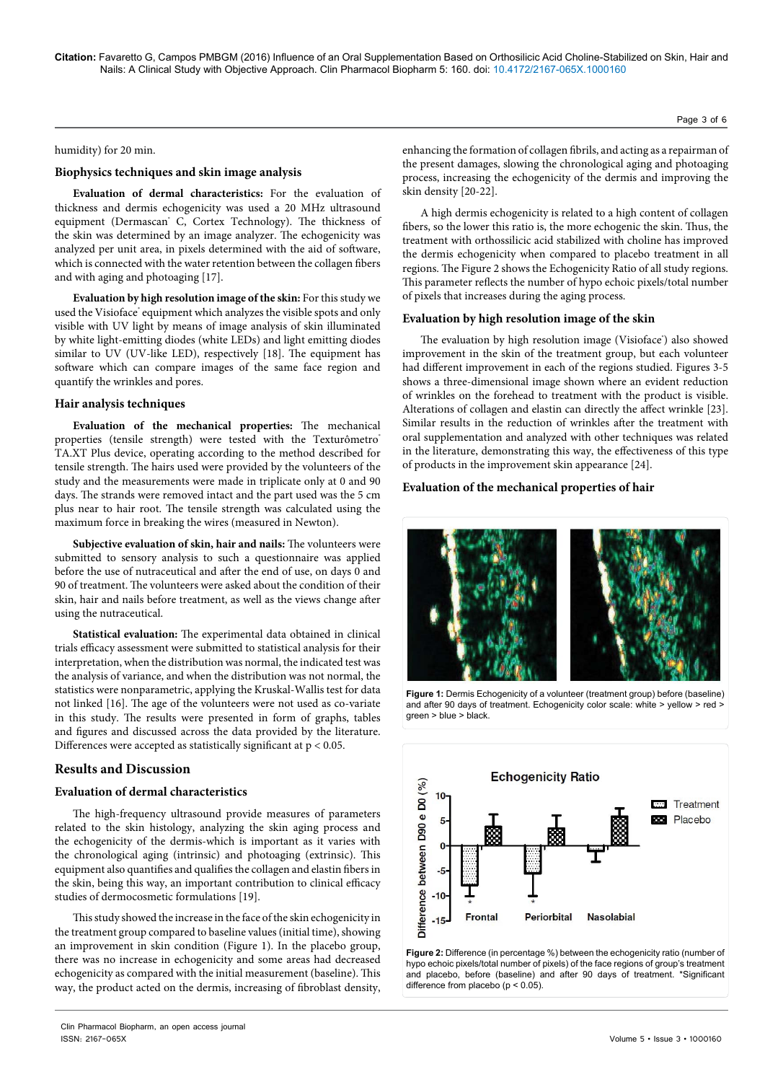humidity) for 20 min.

#### **Biophysics techniques and skin image analysis**

**Evaluation of dermal characteristics:** For the evaluation of thickness and dermis echogenicity was used a 20 MHz ultrasound equipment (Dermascan' C, Cortex Technology). The thickness of the skin was determined by an image analyzer. The echogenicity was analyzed per unit area, in pixels determined with the aid of software, which is connected with the water retention between the collagen fibers and with aging and photoaging [17].

**Evaluation by high resolution image of the skin:** For this study we used the Visioface' equipment which analyzes the visible spots and only visible with UV light by means of image analysis of skin illuminated by white light-emitting diodes (white LEDs) and light emitting diodes similar to UV (UV-like LED), respectively [18]. The equipment has software which can compare images of the same face region and quantify the wrinkles and pores.

### **Hair analysis techniques**

**Evaluation of the mechanical properties:** The mechanical properties (tensile strength) were tested with the Texturômetro TA.XT Plus device, operating according to the method described for tensile strength. The hairs used were provided by the volunteers of the study and the measurements were made in triplicate only at 0 and 90 days. The strands were removed intact and the part used was the 5 cm plus near to hair root. The tensile strength was calculated using the maximum force in breaking the wires (measured in Newton).

**Subjective evaluation of skin, hair and nails:** The volunteers were submitted to sensory analysis to such a questionnaire was applied before the use of nutraceutical and after the end of use, on days 0 and 90 of treatment. The volunteers were asked about the condition of their skin, hair and nails before treatment, as well as the views change after using the nutraceutical.

**Statistical evaluation:** The experimental data obtained in clinical trials efficacy assessment were submitted to statistical analysis for their interpretation, when the distribution was normal, the indicated test was the analysis of variance, and when the distribution was not normal, the statistics were nonparametric, applying the Kruskal-Wallis test for data not linked [16]. The age of the volunteers were not used as co-variate in this study. The results were presented in form of graphs, tables and figures and discussed across the data provided by the literature. Differences were accepted as statistically significant at  $p < 0.05$ .

### **Results and Discussion**

### **Evaluation of dermal characteristics**

The high-frequency ultrasound provide measures of parameters related to the skin histology, analyzing the skin aging process and the echogenicity of the dermis-which is important as it varies with the chronological aging (intrinsic) and photoaging (extrinsic). This equipment also quantifies and qualifies the collagen and elastin fibers in the skin, being this way, an important contribution to clinical efficacy studies of dermocosmetic formulations [19].

This study showed the increase in the face of the skin echogenicity in the treatment group compared to baseline values (initial time), showing an improvement in skin condition (Figure 1). In the placebo group, there was no increase in echogenicity and some areas had decreased echogenicity as compared with the initial measurement (baseline). This way, the product acted on the dermis, increasing of fibroblast density,

enhancing the formation of collagen fibrils, and acting as a repairman of the present damages, slowing the chronological aging and photoaging process, increasing the echogenicity of the dermis and improving the skin density [20-22].

A high dermis echogenicity is related to a high content of collagen fibers, so the lower this ratio is, the more echogenic the skin. Thus, the treatment with orthossilicic acid stabilized with choline has improved the dermis echogenicity when compared to placebo treatment in all regions. The Figure 2 shows the Echogenicity Ratio of all study regions. This parameter reflects the number of hypo echoic pixels/total number of pixels that increases during the aging process.

#### **Evaluation by high resolution image of the skin**

The evaluation by high resolution image (Visioface') also showed improvement in the skin of the treatment group, but each volunteer had different improvement in each of the regions studied. Figures 3-5 shows a three-dimensional image shown where an evident reduction of wrinkles on the forehead to treatment with the product is visible. Alterations of collagen and elastin can directly the affect wrinkle [23]. Similar results in the reduction of wrinkles after the treatment with oral supplementation and analyzed with other techniques was related in the literature, demonstrating this way, the effectiveness of this type of products in the improvement skin appearance [24].

### **Evaluation of the mechanical properties of hair**



Figure 1: Dermis Echogenicity of a volunteer (treatment group) before (baseline) and after 90 days of treatment. Echogenicity color scale: white > yellow > red > green > blue > black.



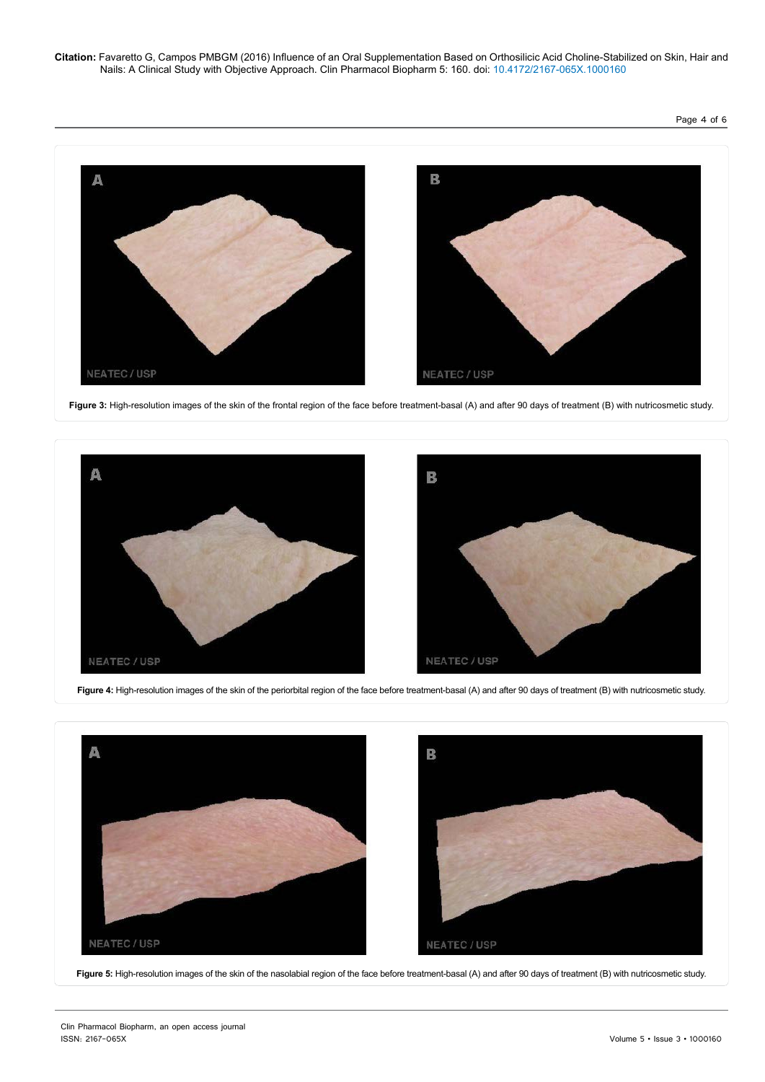### Page 4 of 6



Figure 3: High-resolution images of the skin of the frontal region of the face before treatment-basal (A) and after 90 days of treatment (B) with nutricosmetic study.



**Figure 4:** High-resolution images of the skin of the periorbital region of the face before treatment-basal (A) and after 90 days of treatment (B) with nutricosmetic study.



**Figure 5:** High-resolution images of the skin of the nasolabial region of the face before treatment-basal (A) and after 90 days of treatment (B) with nutricosmetic study.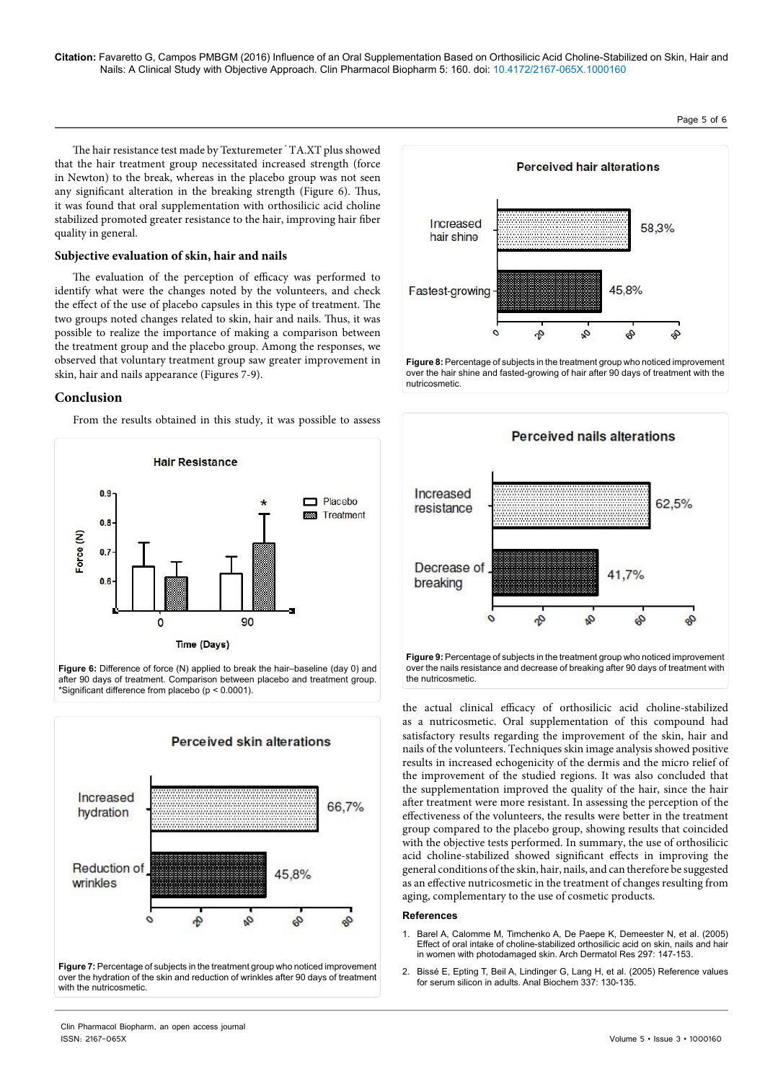Page 5 of 6

The hair resistance test made by Texturemeter ® TA.XT plus showed that the hair treatment group necessitated increased strength (force in Newton) to the break, whereas in the placebo group was not seen any significant alteration in the breaking strength (Figure 6). Thus, it was found that oral supplementation with orthosilicic acid choline stabilized promoted greater resistance to the hair, improving hair fiber quality in general.

### **Subjective evaluation of skin, hair and nails**

The evaluation of the perception of efficacy was performed to identify what were the changes noted by the volunteers, and check the effect of the use of placebo capsules in this type of treatment. The two groups noted changes related to skin, hair and nails. Thus, it was possible to realize the importance of making a comparison between the treatment group and the placebo group. Among the responses, we observed that voluntary treatment group saw greater improvement in skin, hair and nails appearance (Figures 7-9).

### **Conclusion**

From the results obtained in this study, it was possible to assess



after 90 days of treatment. Comparison between placebo and treatment group. \*Significant difference from placebo (p < 0.0001).









the actual clinical efficacy of orthosilicic acid choline-stabilized as a nutricosmetic. Oral supplementation of this compound had satisfactory results regarding the improvement of the skin, hair and nails of the volunteers. Techniques skin image analysis showed positive results in increased echogenicity of the dermis and the micro relief of the improvement of the studied regions. It was also concluded that the supplementation improved the quality of the hair, since the hair after treatment were more resistant. In assessing the perception of the effectiveness of the volunteers, the results were better in the treatment group compared to the placebo group, showing results that coincided with the objective tests performed. In summary, the use of orthosilicic acid choline-stabilized showed significant effects in improving the general conditions of the skin, hair, nails, and can therefore be suggested as an effective nutricosmetic in the treatment of changes resulting from aging, complementary to the use of cosmetic products.

#### **References**

- 1. [Barel A, Calomme M, Timchenko A, De Paepe K, Demeester N, et al. \(2005\)](http://dx.doi.org/10.1007/s00403-005-0584-6)  [Effect of oral intake of choline-stabilized orthosilicic acid on skin, nails and hair](http://dx.doi.org/10.1007/s00403-005-0584-6)  [in women with photodamaged skin. Arch Dermatol Res 297: 147-153.](http://dx.doi.org/10.1007/s00403-005-0584-6)
- 2. [Bissé E, Epting T, Beil A, Lindinger G, Lang H, et al. \(2005\) Reference values](http://dx.doi.org/10.1016/j.ab.2004.10.034)  [for serum silicon in adults. Anal Biochem 337: 130-135.](http://dx.doi.org/10.1016/j.ab.2004.10.034)